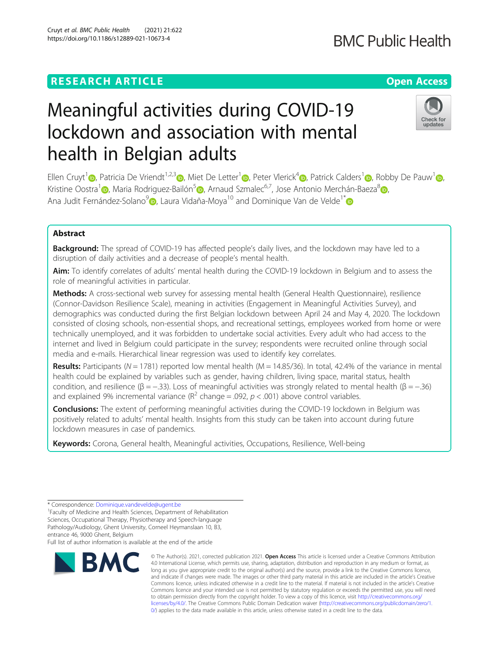# **RESEARCH ARTICLE Example 2014 12:30 The Contract of Contract ACCESS**

# Meaningful activities during COVID-19 lockdown and association with mental health in Belgian adults

Ellen Cruyt<sup>[1](https://orcid.org/0000-0002-4242-9062)</sup> <sub>(b</sub>[,](https://orcid.org/0000-0001-9624-1025) Patricia De Vriendt<sup>1,2,3</sup> <sub>(b</sub>, Miet De Letter<sup>1</sup> <sub>(b</sub>), Peter Vlerick<sup>4</sup> (b), Patrick Calders<sup>1</sup> (b), Robby De Pauw<sup>1</sup> (b), Kristine Oostra<sup>1</sup> [,](https://orcid.org/0000-0003-0972-4884) Maria Rodriguez-Bailón<sup>[5](https://orcid.org/0000-0001-6658-7658)</sup> , Arnaud Szmalec<sup>6,7</sup>, Jose Antonio Merchán-Baeza<sup>[8](https://orcid.org/0000-0002-6893-952X)</sup> , Ana Judit Fernández-Solano $\partial_{\mathbb{D}}$ [,](https://orcid.org/0000-0001-8706-9745) Laura Vidaña-Moya<sup>10</sup> and Dominique Van de Velde<sup>1\*</sup> $\mathbb{D}$ 

# Abstract

**Background:** The spread of COVID-19 has affected people's daily lives, and the lockdown may have led to a disruption of daily activities and a decrease of people's mental health.

Aim: To identify correlates of adults' mental health during the COVID-19 lockdown in Belgium and to assess the role of meaningful activities in particular.

Methods: A cross-sectional web survey for assessing mental health (General Health Questionnaire), resilience (Connor-Davidson Resilience Scale), meaning in activities (Engagement in Meaningful Activities Survey), and demographics was conducted during the first Belgian lockdown between April 24 and May 4, 2020. The lockdown consisted of closing schools, non-essential shops, and recreational settings, employees worked from home or were technically unemployed, and it was forbidden to undertake social activities. Every adult who had access to the internet and lived in Belgium could participate in the survey; respondents were recruited online through social media and e-mails. Hierarchical linear regression was used to identify key correlates.

Results: Participants ( $N = 1781$ ) reported low mental health ( $M = 14.85/36$ ). In total, 42.4% of the variance in mental health could be explained by variables such as gender, having children, living space, marital status, health condition, and resilience ( $\beta = -.33$ ). Loss of meaningful activities was strongly related to mental health ( $\beta = -.36$ ) and explained 9% incremental variance ( $R^2$  change = .092,  $p < .001$ ) above control variables.

> © The Author(s). 2021, corrected publication 2021. Open Access This article is licensed under a Creative Commons Attribution 4.0 International License, which permits use, sharing, adaptation, distribution and reproduction in any medium or format, as long as you give appropriate credit to the original author(s) and the source, provide a link to the Creative Commons licence, and indicate if changes were made. The images or other third party material in this article are included in the article's Creative

[0/\)](http://creativecommons.org/publicdomain/zero/1.0/) applies to the data made available in this article, unless otherwise stated in a credit line to the data.

Conclusions: The extent of performing meaningful activities during the COVID-19 lockdown in Belgium was positively related to adults' mental health. Insights from this study can be taken into account during future lockdown measures in case of pandemics.

Keywords: Corona, General health, Meaningful activities, Occupations, Resilience, Well-being

**RMC** 

<sup>1</sup> Faculty of Medicine and Health Sciences, Department of Rehabilitation Sciences, Occupational Therapy, Physiotherapy and Speech-language Pathology/Audiology, Ghent University, Corneel Heymanslaan 10, B3, entrance 46, 9000 Ghent, Belgium

Full list of author information is available at the end of the article





<sup>\*</sup> Correspondence: [Dominique.vandevelde@ugent.be](mailto:Dominique.vandevelde@ugent.be) <sup>1</sup>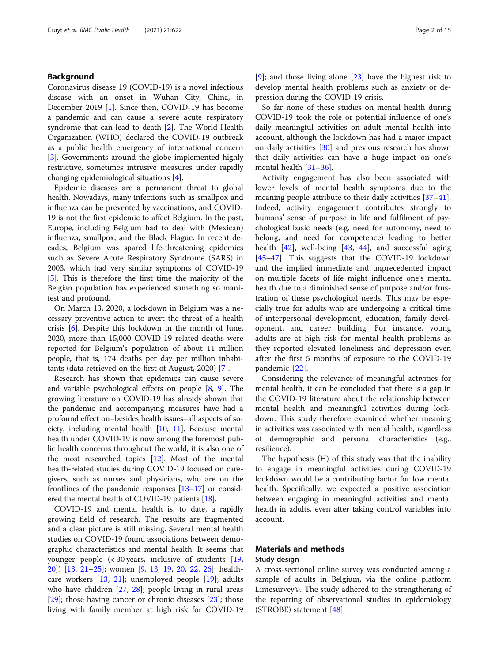### Background

Coronavirus disease 19 (COVID-19) is a novel infectious disease with an onset in Wuhan City, China, in December 2019 [[1\]](#page-12-0). Since then, COVID-19 has become a pandemic and can cause a severe acute respiratory syndrome that can lead to death [\[2](#page-12-0)]. The World Health Organization (WHO) declared the COVID-19 outbreak as a public health emergency of international concern [[3\]](#page-12-0). Governments around the globe implemented highly restrictive, sometimes intrusive measures under rapidly changing epidemiological situations [[4\]](#page-12-0).

Epidemic diseases are a permanent threat to global health. Nowadays, many infections such as smallpox and influenza can be prevented by vaccinations, and COVID-19 is not the first epidemic to affect Belgium. In the past, Europe, including Belgium had to deal with (Mexican) influenza, smallpox, and the Black Plague. In recent decades, Belgium was spared life-threatening epidemics such as Severe Acute Respiratory Syndrome (SARS) in 2003, which had very similar symptoms of COVID-19 [[5\]](#page-12-0). This is therefore the first time the majority of the Belgian population has experienced something so manifest and profound.

On March 13, 2020, a lockdown in Belgium was a necessary preventive action to avert the threat of a health crisis [[6\]](#page-12-0). Despite this lockdown in the month of June, 2020, more than 15,000 COVID-19 related deaths were reported for Belgium's population of about 11 million people, that is, 174 deaths per day per million inhabitants (data retrieved on the first of August, 2020) [\[7](#page-12-0)].

Research has shown that epidemics can cause severe and variable psychological effects on people [\[8](#page-12-0), [9\]](#page-12-0). The growing literature on COVID-19 has already shown that the pandemic and accompanying measures have had a profound effect on–besides health issues–all aspects of society, including mental health [[10](#page-12-0), [11\]](#page-12-0). Because mental health under COVID-19 is now among the foremost public health concerns throughout the world, it is also one of the most researched topics [[12](#page-12-0)]. Most of the mental health-related studies during COVID-19 focused on caregivers, such as nurses and physicians, who are on the frontlines of the pandemic responses [\[13](#page-12-0)–[17](#page-12-0)] or considered the mental health of COVID-19 patients [[18](#page-12-0)].

COVID-19 and mental health is, to date, a rapidly growing field of research. The results are fragmented and a clear picture is still missing. Several mental health studies on COVID-19 found associations between demographic characteristics and mental health. It seems that younger people (< 30 years, inclusive of students [[19](#page-12-0), [20\]](#page-12-0)) [[13,](#page-12-0) [21](#page-13-0)–[25](#page-13-0)]; women [[9,](#page-12-0) [13,](#page-12-0) [19,](#page-12-0) [20,](#page-12-0) [22,](#page-13-0) [26\]](#page-13-0); healthcare workers [[13,](#page-12-0) [21\]](#page-13-0); unemployed people [\[19\]](#page-12-0); adults who have children [[27](#page-13-0), [28](#page-13-0)]; people living in rural areas [[29\]](#page-13-0); those having cancer or chronic diseases [\[23\]](#page-13-0); those living with family member at high risk for COVID-19 [[9\]](#page-12-0); and those living alone [[23\]](#page-13-0) have the highest risk to develop mental health problems such as anxiety or depression during the COVID-19 crisis.

So far none of these studies on mental health during COVID-19 took the role or potential influence of one's daily meaningful activities on adult mental health into account, although the lockdown has had a major impact on daily activities [[30\]](#page-13-0) and previous research has shown that daily activities can have a huge impact on one's mental health [\[31](#page-13-0)–[36\]](#page-13-0).

Activity engagement has also been associated with lower levels of mental health symptoms due to the meaning people attribute to their daily activities [[37](#page-13-0)–[41](#page-13-0)]. Indeed, activity engagement contributes strongly to humans' sense of purpose in life and fulfilment of psychological basic needs (e.g. need for autonomy, need to belong, and need for competence) leading to better health  $[42]$  $[42]$ , well-being  $[43, 44]$  $[43, 44]$  $[43, 44]$  $[43, 44]$  $[43, 44]$ , and successful aging [[45](#page-13-0)–[47](#page-13-0)]. This suggests that the COVID-19 lockdown and the implied immediate and unprecedented impact on multiple facets of life might influence one's mental health due to a diminished sense of purpose and/or frustration of these psychological needs. This may be especially true for adults who are undergoing a critical time of interpersonal development, education, family development, and career building. For instance, young adults are at high risk for mental health problems as they reported elevated loneliness and depression even after the first 5 months of exposure to the COVID-19 pandemic [\[22](#page-13-0)].

Considering the relevance of meaningful activities for mental health, it can be concluded that there is a gap in the COVID-19 literature about the relationship between mental health and meaningful activities during lockdown. This study therefore examined whether meaning in activities was associated with mental health, regardless of demographic and personal characteristics (e.g., resilience).

The hypothesis (H) of this study was that the inability to engage in meaningful activities during COVID-19 lockdown would be a contributing factor for low mental health. Specifically, we expected a positive association between engaging in meaningful activities and mental health in adults, even after taking control variables into account.

### Materials and methods Study design

A cross-sectional online survey was conducted among a sample of adults in Belgium, via the online platform Limesurvey©. The study adhered to the strengthening of the reporting of observational studies in epidemiology (STROBE) statement [[48\]](#page-13-0).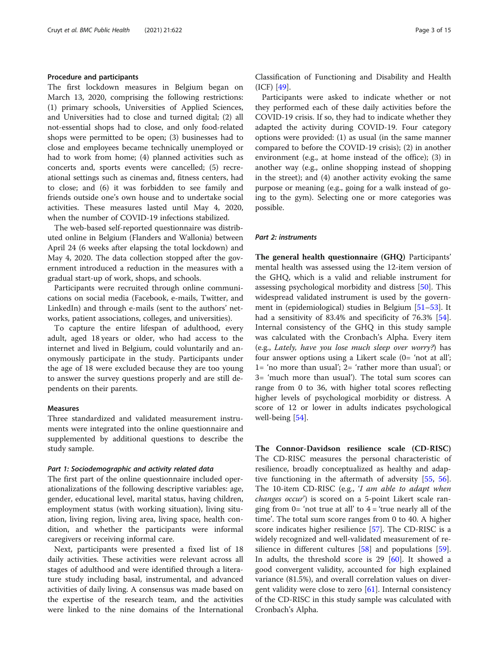#### Procedure and participants

The first lockdown measures in Belgium began on March 13, 2020, comprising the following restrictions: (1) primary schools, Universities of Applied Sciences, and Universities had to close and turned digital; (2) all not-essential shops had to close, and only food-related shops were permitted to be open; (3) businesses had to close and employees became technically unemployed or had to work from home; (4) planned activities such as concerts and, sports events were cancelled; (5) recreational settings such as cinemas and, fitness centers, had to close; and (6) it was forbidden to see family and friends outside one's own house and to undertake social activities. These measures lasted until May 4, 2020, when the number of COVID-19 infections stabilized.

The web-based self-reported questionnaire was distributed online in Belgium (Flanders and Wallonia) between April 24 (6 weeks after elapsing the total lockdown) and May 4, 2020. The data collection stopped after the government introduced a reduction in the measures with a gradual start-up of work, shops, and schools.

Participants were recruited through online communications on social media (Facebook, e-mails, Twitter, and LinkedIn) and through e-mails (sent to the authors' networks, patient associations, colleges, and universities).

To capture the entire lifespan of adulthood, every adult, aged 18 years or older, who had access to the internet and lived in Belgium, could voluntarily and anonymously participate in the study. Participants under the age of 18 were excluded because they are too young to answer the survey questions properly and are still dependents on their parents.

#### Measures

Three standardized and validated measurement instruments were integrated into the online questionnaire and supplemented by additional questions to describe the study sample.

#### Part 1: Sociodemographic and activity related data

The first part of the online questionnaire included operationalizations of the following descriptive variables: age, gender, educational level, marital status, having children, employment status (with working situation), living situation, living region, living area, living space, health condition, and whether the participants were informal caregivers or receiving informal care.

Next, participants were presented a fixed list of 18 daily activities. These activities were relevant across all stages of adulthood and were identified through a literature study including basal, instrumental, and advanced activities of daily living. A consensus was made based on the expertise of the research team, and the activities were linked to the nine domains of the International Classification of Functioning and Disability and Health (ICF) [\[49](#page-13-0)].

Participants were asked to indicate whether or not they performed each of these daily activities before the COVID-19 crisis. If so, they had to indicate whether they adapted the activity during COVID-19. Four category options were provided: (1) as usual (in the same manner compared to before the COVID-19 crisis); (2) in another environment (e.g., at home instead of the office); (3) in another way (e.g., online shopping instead of shopping in the street); and (4) another activity evoking the same purpose or meaning (e.g., going for a walk instead of going to the gym). Selecting one or more categories was possible.

#### Part 2: instruments

The general health questionnaire (GHQ) Participants' mental health was assessed using the 12-item version of the GHQ, which is a valid and reliable instrument for assessing psychological morbidity and distress [[50\]](#page-13-0). This widespread validated instrument is used by the govern-ment in (epidemiological) studies in Belgium [[51](#page-13-0)–[53](#page-13-0)]. It had a sensitivity of 83.4% and specificity of 76.3% [\[54](#page-13-0)]. Internal consistency of the GHQ in this study sample was calculated with the Cronbach's Alpha. Every item (e.g., Lately, have you lose much sleep over worry?) has four answer options using a Likert scale (0= 'not at all'; 1= 'no more than usual'; 2= 'rather more than usual'; or 3= 'much more than usual'). The total sum scores can range from 0 to 36, with higher total scores reflecting higher levels of psychological morbidity or distress. A score of 12 or lower in adults indicates psychological well-being [[54\]](#page-13-0).

The Connor-Davidson resilience scale (CD-RISC) The CD-RISC measures the personal characteristic of resilience, broadly conceptualized as healthy and adaptive functioning in the aftermath of adversity [[55,](#page-13-0) [56](#page-13-0)]. The 10-item CD-RISC (e.g., 'I am able to adapt when changes occur') is scored on a 5-point Likert scale ranging from  $0=$  'not true at all' to  $4=$  'true nearly all of the time'. The total sum score ranges from 0 to 40. A higher score indicates higher resilience [[57](#page-13-0)]. The CD-RISC is a widely recognized and well-validated measurement of resilience in different cultures [[58\]](#page-13-0) and populations [\[59](#page-13-0)]. In adults, the threshold score is  $29$  [[60\]](#page-13-0). It showed a good convergent validity, accounted for high explained variance (81.5%), and overall correlation values on divergent validity were close to zero  $[61]$  $[61]$ . Internal consistency of the CD-RISC in this study sample was calculated with Cronbach's Alpha.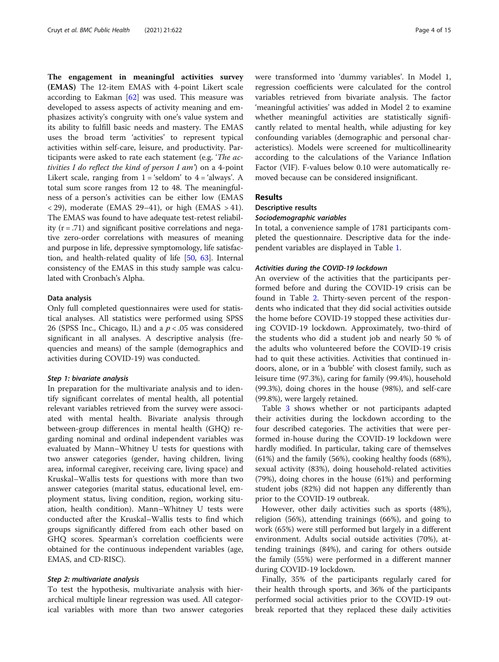The engagement in meaningful activities survey (EMAS) The 12-item EMAS with 4-point Likert scale according to Eakman  $[62]$  $[62]$  was used. This measure was developed to assess aspects of activity meaning and emphasizes activity's congruity with one's value system and its ability to fulfill basic needs and mastery. The EMAS uses the broad term 'activities' to represent typical activities within self-care, leisure, and productivity. Participants were asked to rate each statement (e.g. 'The activities I do reflect the kind of person I am') on a 4-point Likert scale, ranging from  $1 = '$ seldom' to  $4 = '$ always'. A total sum score ranges from 12 to 48. The meaningfulness of a person's activities can be either low (EMAS  $\langle$  29), moderate (EMAS 29–41), or high (EMAS > 41). The EMAS was found to have adequate test-retest reliability  $(r = .71)$  and significant positive correlations and negative zero-order correlations with measures of meaning and purpose in life, depressive symptomology, life satisfaction, and health-related quality of life [\[50,](#page-13-0) [63\]](#page-14-0). Internal consistency of the EMAS in this study sample was calculated with Cronbach's Alpha.

#### Data analysis

Only full completed questionnaires were used for statistical analyses. All statistics were performed using SPSS 26 (SPSS Inc., Chicago, IL) and a  $p < .05$  was considered significant in all analyses. A descriptive analysis (frequencies and means) of the sample (demographics and activities during COVID-19) was conducted.

#### Step 1: bivariate analysis

In preparation for the multivariate analysis and to identify significant correlates of mental health, all potential relevant variables retrieved from the survey were associated with mental health. Bivariate analysis through between-group differences in mental health (GHQ) regarding nominal and ordinal independent variables was evaluated by Mann–Whitney U tests for questions with two answer categories (gender, having children, living area, informal caregiver, receiving care, living space) and Kruskal–Wallis tests for questions with more than two answer categories (marital status, educational level, employment status, living condition, region, working situation, health condition). Mann–Whitney U tests were conducted after the Kruskal–Wallis tests to find which groups significantly differed from each other based on GHQ scores. Spearman's correlation coefficients were obtained for the continuous independent variables (age, EMAS, and CD-RISC).

#### Step 2: multivariate analysis

To test the hypothesis, multivariate analysis with hierarchical multiple linear regression was used. All categorical variables with more than two answer categories were transformed into 'dummy variables'. In Model 1, regression coefficients were calculated for the control variables retrieved from bivariate analysis. The factor 'meaningful activities' was added in Model 2 to examine whether meaningful activities are statistically significantly related to mental health, while adjusting for key confounding variables (demographic and personal characteristics). Models were screened for multicollinearity according to the calculations of the Variance Inflation Factor (VIF). F-values below 0.10 were automatically removed because can be considered insignificant.

#### Results

# Descriptive results

Sociodemographic variables

In total, a convenience sample of 1781 participants completed the questionnaire. Descriptive data for the independent variables are displayed in Table [1](#page-4-0).

#### Activities during the COVID-19 lockdown

An overview of the activities that the participants performed before and during the COVID-19 crisis can be found in Table [2.](#page-5-0) Thirty-seven percent of the respondents who indicated that they did social activities outside the home before COVID-19 stopped these activities during COVID-19 lockdown. Approximately, two-third of the students who did a student job and nearly 50 % of the adults who volunteered before the COVID-19 crisis had to quit these activities. Activities that continued indoors, alone, or in a 'bubble' with closest family, such as leisure time (97.3%), caring for family (99.4%), household (99.3%), doing chores in the house (98%), and self-care (99.8%), were largely retained.

Table [3](#page-5-0) shows whether or not participants adapted their activities during the lockdown according to the four described categories. The activities that were performed in-house during the COVID-19 lockdown were hardly modified. In particular, taking care of themselves (61%) and the family (56%), cooking healthy foods (68%), sexual activity (83%), doing household-related activities (79%), doing chores in the house (61%) and performing student jobs (82%) did not happen any differently than prior to the COVID-19 outbreak.

However, other daily activities such as sports (48%), religion (56%), attending trainings (66%), and going to work (65%) were still performed but largely in a different environment. Adults social outside activities (70%), attending trainings (84%), and caring for others outside the family (55%) were performed in a different manner during COVID-19 lockdown.

Finally, 35% of the participants regularly cared for their health through sports, and 36% of the participants performed social activities prior to the COVID-19 outbreak reported that they replaced these daily activities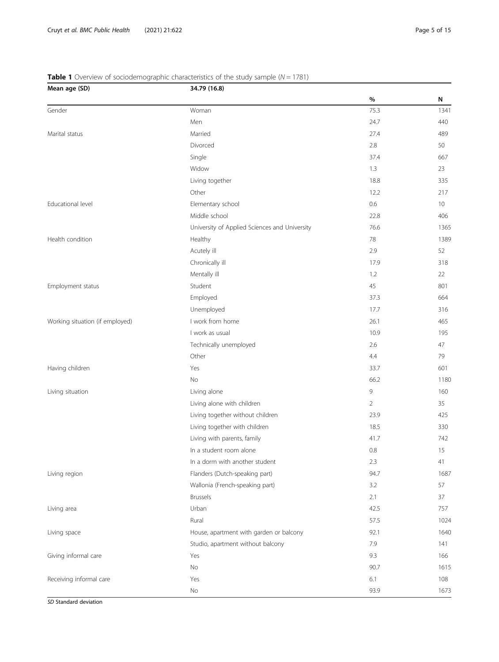| Mean age (SD)                   | 34.79 (16.8)                                  |                |             |  |  |  |
|---------------------------------|-----------------------------------------------|----------------|-------------|--|--|--|
|                                 |                                               | $\%$           | N           |  |  |  |
| Gender                          | Woman                                         | 75.3           | 1341        |  |  |  |
|                                 | Men                                           | 24.7           | 440         |  |  |  |
| Marital status                  | Married                                       | 27.4           | 489         |  |  |  |
|                                 | Divorced                                      | 2.8            | 50          |  |  |  |
|                                 | Single                                        | 37.4           | 667         |  |  |  |
|                                 | Widow                                         | 1.3            | 23          |  |  |  |
|                                 | Living together                               | 18.8           | 335         |  |  |  |
|                                 | Other                                         | 12.2           | 217         |  |  |  |
| Educational level               | Elementary school                             | 0.6            | 10          |  |  |  |
|                                 | Middle school                                 | 22.8           | 406         |  |  |  |
|                                 | University of Applied Sciences and University | 76.6           | 1365        |  |  |  |
| Health condition                | Healthy                                       | 78             | 1389        |  |  |  |
|                                 | Acutely ill                                   | 2.9            | 52          |  |  |  |
|                                 | Chronically ill                               | 17.9           | 318         |  |  |  |
|                                 | Mentally ill                                  | 1.2            | 22          |  |  |  |
| Employment status               | Student                                       | 45             | 801         |  |  |  |
|                                 | Employed                                      | 37.3           | 664         |  |  |  |
|                                 | Unemployed                                    | 17.7           | 316         |  |  |  |
| Working situation (if employed) | I work from home                              | 26.1           | 465         |  |  |  |
|                                 | I work as usual                               | 10.9           | 195         |  |  |  |
|                                 | Technically unemployed                        | 2.6            | 47          |  |  |  |
|                                 | Other                                         | 4.4            | 79          |  |  |  |
| Having children                 | Yes                                           | 33.7           | 601         |  |  |  |
|                                 | No                                            | 66.2           | <b>1180</b> |  |  |  |
| Living situation                | Living alone                                  | 9              | 160         |  |  |  |
|                                 | Living alone with children                    | $\overline{2}$ | 35          |  |  |  |
|                                 | Living together without children              | 23.9           | 425         |  |  |  |
|                                 | Living together with children                 | 18.5           | 330         |  |  |  |
|                                 | Living with parents, family                   | 41.7           | 742         |  |  |  |
|                                 | In a student room alone                       | 0.8            | 15          |  |  |  |
|                                 | In a dorm with another student                | 2.3            | 41          |  |  |  |
| Living region                   | Flanders (Dutch-speaking part)                | 94.7           | 1687        |  |  |  |
|                                 | Wallonia (French-speaking part)               | 3.2            | 57          |  |  |  |
|                                 | <b>Brussels</b>                               | 2.1            | 37          |  |  |  |
| Living area                     | Urban                                         | 42.5           | 757         |  |  |  |
|                                 | Rural                                         | 57.5           | 1024        |  |  |  |
| Living space                    | House, apartment with garden or balcony       | 92.1           | 1640        |  |  |  |
|                                 | Studio, apartment without balcony             | 7.9            | 141         |  |  |  |
| Giving informal care            | Yes                                           | 9.3            | 166         |  |  |  |
|                                 | No                                            | 90.7           | 1615        |  |  |  |
| Receiving informal care         | Yes                                           | 6.1            | 108         |  |  |  |
|                                 | No                                            | 93.9           | 1673        |  |  |  |
|                                 |                                               |                |             |  |  |  |

## <span id="page-4-0"></span>**Table 1** Overview of sociodemographic characteristics of the study sample ( $N = 1781$ )

SD Standard deviation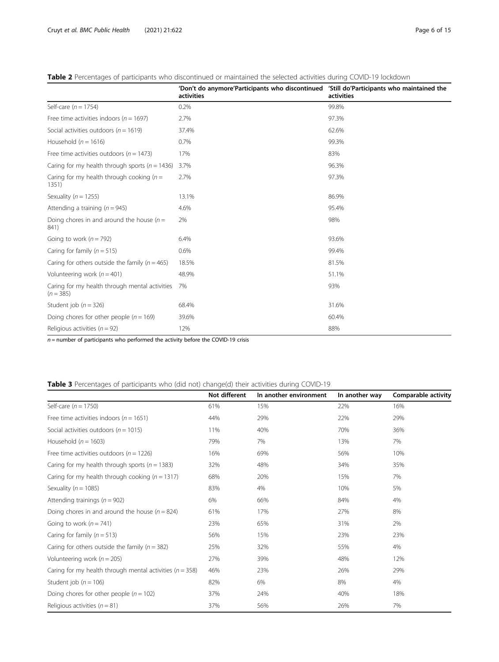<span id="page-5-0"></span>

|  |  | <b>Table 2</b> Percentages of participants who discontinued or maintained the selected activities during COVID-19 lockdown |  |
|--|--|----------------------------------------------------------------------------------------------------------------------------|--|
|  |  |                                                                                                                            |  |

|                                                               | 'Don't do anymore'Participants who discontinued 'Still do'Participants who maintained the<br>activities | activities |
|---------------------------------------------------------------|---------------------------------------------------------------------------------------------------------|------------|
| Self-care ( $n = 1754$ )                                      | 0.2%                                                                                                    | 99.8%      |
| Free time activities indoors ( $n = 1697$ )                   | 2.7%                                                                                                    | 97.3%      |
| Social activities outdoors ( $n = 1619$ )                     | 37.4%                                                                                                   | 62.6%      |
| Household ( $n = 1616$ )                                      | 0.7%                                                                                                    | 99.3%      |
| Free time activities outdoors ( $n = 1473$ )                  | 17%                                                                                                     | 83%        |
| Caring for my health through sports ( $n = 1436$ )            | 3.7%                                                                                                    | 96.3%      |
| Caring for my health through cooking ( $n =$<br>1351)         | 2.7%                                                                                                    | 97.3%      |
| Sexuality ( $n = 1255$ )                                      | 13.1%                                                                                                   | 86.9%      |
| Attending a training ( $n = 945$ )                            | 4.6%                                                                                                    | 95.4%      |
| Doing chores in and around the house $(n =$<br>841)           | 2%                                                                                                      | 98%        |
| Going to work ( $n = 792$ )                                   | 6.4%                                                                                                    | 93.6%      |
| Caring for family ( $n = 515$ )                               | 0.6%                                                                                                    | 99.4%      |
| Caring for others outside the family ( $n = 465$ )            | 18.5%                                                                                                   | 81.5%      |
| Volunteering work ( $n = 401$ )                               | 48.9%                                                                                                   | 51.1%      |
| Caring for my health through mental activities<br>$(n = 385)$ | 7%                                                                                                      | 93%        |
| Student job ( $n = 326$ )                                     | 68.4%                                                                                                   | 31.6%      |
| Doing chores for other people ( $n = 169$ )                   | 39.6%                                                                                                   | 60.4%      |
| Religious activities ( $n = 92$ )                             | 12%                                                                                                     | 88%        |

 $n$  = number of participants who performed the activity before the COVID-19 crisis

# Table 3 Percentages of participants who (did not) change(d) their activities during COVID-19

|                                                              | Not different | In another environment | In another way | Comparable activity |
|--------------------------------------------------------------|---------------|------------------------|----------------|---------------------|
| Self-care ( $n = 1750$ )                                     | 61%           | 15%                    | 22%            | 16%                 |
| Free time activities indoors ( $n = 1651$ )                  | 44%           | 29%                    | 22%            | 29%                 |
| Social activities outdoors ( $n = 1015$ )                    | 11%           | 40%                    | 70%            | 36%                 |
| Household ( $n = 1603$ )                                     | 79%           | 7%                     | 13%            | 7%                  |
| Free time activities outdoors ( $n = 1226$ )                 | 16%           | 69%                    | 56%            | 10%                 |
| Caring for my health through sports ( $n = 1383$ )           | 32%           | 48%                    | 34%            | 35%                 |
| Caring for my health through cooking ( $n = 1317$ )          | 68%           | 20%                    | 15%            | 7%                  |
| Sexuality ( $n = 1085$ )                                     | 83%           | 4%                     | 10%            | 5%                  |
| Attending trainings ( $n = 902$ )                            | 6%            | 66%                    | 84%            | 4%                  |
| Doing chores in and around the house ( $n = 824$ )           | 61%           | 17%                    | 27%            | 8%                  |
| Going to work ( $n = 741$ )                                  | 23%           | 65%                    | 31%            | 2%                  |
| Caring for family $(n = 513)$                                | 56%           | 15%                    | 23%            | 23%                 |
| Caring for others outside the family ( $n = 382$ )           | 25%           | 32%                    | 55%            | 4%                  |
| Volunteering work ( $n = 205$ )                              | 27%           | 39%                    | 48%            | 12%                 |
| Caring for my health through mental activities ( $n = 358$ ) | 46%           | 23%                    | 26%            | 29%                 |
| Student job ( $n = 106$ )                                    | 82%           | 6%                     | 8%             | 4%                  |
| Doing chores for other people $(n = 102)$                    | 37%           | 24%                    | 40%            | 18%                 |
| Religious activities ( $n = 81$ )                            | 37%           | 56%                    | 26%            | 7%                  |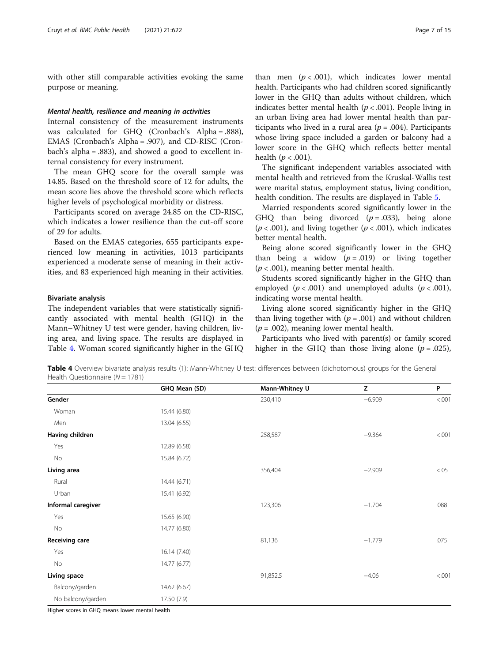with other still comparable activities evoking the same purpose or meaning.

#### Mental health, resilience and meaning in activities

Internal consistency of the measurement instruments was calculated for GHQ (Cronbach's Alpha = .888), EMAS (Cronbach's Alpha = .907), and CD-RISC (Cronbach's alpha = .883), and showed a good to excellent internal consistency for every instrument.

The mean GHQ score for the overall sample was 14.85. Based on the threshold score of 12 for adults, the mean score lies above the threshold score which reflects higher levels of psychological morbidity or distress.

Participants scored on average 24.85 on the CD-RISC, which indicates a lower resilience than the cut-off score of 29 for adults.

Based on the EMAS categories, 655 participants experienced low meaning in activities, 1013 participants experienced a moderate sense of meaning in their activities, and 83 experienced high meaning in their activities.

#### Bivariate analysis

The independent variables that were statistically significantly associated with mental health (GHQ) in the Mann–Whitney U test were gender, having children, living area, and living space. The results are displayed in Table 4. Woman scored significantly higher in the GHQ

than men  $(p < .001)$ , which indicates lower mental health. Participants who had children scored significantly lower in the GHQ than adults without children, which indicates better mental health ( $p < .001$ ). People living in an urban living area had lower mental health than participants who lived in a rural area ( $p = .004$ ). Participants whose living space included a garden or balcony had a lower score in the GHQ which reflects better mental health  $(p < .001)$ .

The significant independent variables associated with mental health and retrieved from the Kruskal-Wallis test were marital status, employment status, living condition, health condition. The results are displayed in Table [5.](#page-7-0)

Married respondents scored significantly lower in the GHQ than being divorced  $(p=.033)$ , being alone  $(p < .001)$ , and living together  $(p < .001)$ , which indicates better mental health.

Being alone scored significantly lower in the GHQ than being a widow  $(p=.019)$  or living together  $(p < .001)$ , meaning better mental health.

Students scored significantly higher in the GHQ than employed ( $p < .001$ ) and unemployed adults ( $p < .001$ ), indicating worse mental health.

Living alone scored significantly higher in the GHQ than living together with  $(p = .001)$  and without children  $(p=.002)$ , meaning lower mental health.

Participants who lived with parent(s) or family scored higher in the GHQ than those living alone ( $p = .025$ ),

Table 4 Overview bivariate analysis results (1): Mann-Whitney U test: differences between (dichotomous) groups for the General Health Questionnaire  $(N = 1781)$ 

|                       | GHQ Mean (SD) | Mann-Whitney U | Z        | P      |
|-----------------------|---------------|----------------|----------|--------|
| Gender                |               | 230,410        | $-6.909$ | < .001 |
| Woman                 | 15.44 (6.80)  |                |          |        |
| Men                   | 13.04 (6.55)  |                |          |        |
| Having children       |               | 258,587        | $-9.364$ | < .001 |
| Yes                   | 12.89 (6.58)  |                |          |        |
| No                    | 15.84 (6.72)  |                |          |        |
| Living area           |               | 356,404        | $-2.909$ | < 0.05 |
| Rural                 | 14.44 (6.71)  |                |          |        |
| Urban                 | 15.41 (6.92)  |                |          |        |
| Informal caregiver    |               | 123,306        | $-1.704$ | .088   |
| Yes                   | 15.65 (6.90)  |                |          |        |
| No                    | 14.77 (6.80)  |                |          |        |
| <b>Receiving care</b> |               | 81,136         | $-1.779$ | .075   |
| Yes                   | 16.14 (7.40)  |                |          |        |
| No                    | 14.77 (6.77)  |                |          |        |
| Living space          |               | 91,852.5       | $-4.06$  | < .001 |
| Balcony/garden        | 14.62 (6.67)  |                |          |        |
| No balcony/garden     | 17.50 (7.9)   |                |          |        |

Higher scores in GHQ means lower mental health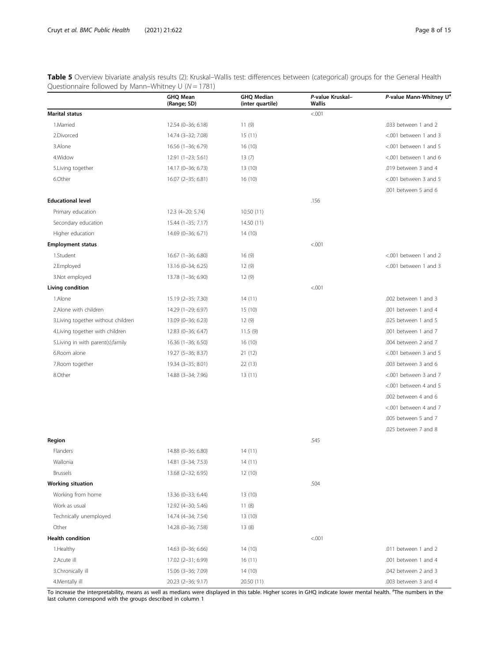<span id="page-7-0"></span>Table 5 Overview bivariate analysis results (2): Kruskal–Wallis test: differences between (categorical) groups for the General Health Questionnaire followed by Mann–Whitney U ( $N = 1781$ )

|                                     | <b>GHQ Mean</b><br>(Range; SD) | <b>GHQ Median</b><br>(inter quartile) | P-value Kruskal-<br><b>Wallis</b> | P-value Mann-Whitney U <sup>a</sup> |
|-------------------------------------|--------------------------------|---------------------------------------|-----------------------------------|-------------------------------------|
| <b>Marital status</b>               |                                |                                       | < .001                            |                                     |
| 1.Married                           | 12.54 (0-36; 6.18)             | 11(9)                                 |                                   | .033 between 1 and 2                |
| 2.Divorced                          | 14.74 (3-32; 7.08)             | 15(11)                                |                                   | <.001 between 1 and 3               |
| 3.Alone                             | 16.56 (1-36; 6.79)             | 16(10)                                |                                   | <.001 between 1 and 5               |
| 4. Widow                            | 12.91 (1-23; 5.61)             | 13(7)                                 |                                   | <.001 between 1 and 6               |
| 5. Living together                  | 14.17 (0-36; 6.73)             | 13(10)                                |                                   | .019 between 3 and 4                |
| 6.Other                             | 16.07 (2-35; 6.81)             | 16(10)                                |                                   | <.001 between 3 and 5               |
|                                     |                                |                                       |                                   | .001 between 5 and 6                |
| <b>Educational level</b>            |                                |                                       | .156                              |                                     |
| Primary education                   | 12.3 (4-20; 5.74)              | 10.50(11)                             |                                   |                                     |
| Secondary education                 | 15.44 (1-35; 7.17)             | 14.50 (11)                            |                                   |                                     |
| Higher education                    | 14.69 (0-36; 6.71)             | 14(10)                                |                                   |                                     |
| <b>Employment status</b>            |                                |                                       | < .001                            |                                     |
| 1.Student                           | 16.67 (1-36; 6.80)             | 16(9)                                 |                                   | <.001 between 1 and 2               |
| 2.Employed                          | 13.16 (0-34; 6.25)             | 12(9)                                 |                                   | <.001 between 1 and 3               |
| 3.Not employed                      | 13.78 (1-36; 6.90)             | 12(9)                                 |                                   |                                     |
| Living condition                    |                                |                                       | < .001                            |                                     |
| 1.Alone                             | 15.19 (2-35; 7.30)             | 14(11)                                |                                   | .002 between 1 and 3                |
| 2.Alone with children               | 14.29 (1-29; 6.97)             | 15 (10)                               |                                   | .001 between 1 and 4                |
| 3. Living together without children | 13.09 (0-36; 6.23)             | 12(9)                                 |                                   | .025 between 1 and 5                |
| 4. Living together with children    | 12.83 (0-36; 6.47)             | 11.5(9)                               |                                   | .001 between 1 and 7                |
| 5. Living in with parent(s), family | 16.36 (1-36; 6.50)             | 16 (10)                               |                                   | .004 between 2 and 7                |
| 6.Room alone                        | 19.27 (5-36; 8.37)             | 21(12)                                |                                   | <.001 between 3 and 5               |
| 7. Room together                    | 19.34 (3-35; 8.01)             | 22(13)                                |                                   | .003 between 3 and 6                |
| 8.Other                             | 14.88 (3-34; 7.96)             | 13(11)                                |                                   | <.001 between 3 and 7               |
|                                     |                                |                                       |                                   | <.001 between 4 and 5               |
|                                     |                                |                                       |                                   | .002 between 4 and 6                |
|                                     |                                |                                       |                                   | <.001 between 4 and 7               |
|                                     |                                |                                       |                                   | .005 between 5 and 7                |
|                                     |                                |                                       |                                   | .025 between 7 and 8                |
| Region                              |                                |                                       | .545                              |                                     |
| Flanders                            | 14.88 (0-36; 6.80)             | 14(11)                                |                                   |                                     |
| Wallonia                            | 14.81 (3-34; 7.53)             | 14(11)                                |                                   |                                     |
| <b>Brussels</b>                     | 13.68 (2-32; 6.95)             | 12 (10)                               |                                   |                                     |
| <b>Working situation</b>            |                                |                                       | .504                              |                                     |
| Working from home                   | 13.36 (0-33; 6.44)             | 13(10)                                |                                   |                                     |
| Work as usual                       | 12.92 (4-30; 5.46)             | 11(8)                                 |                                   |                                     |
| Technically unemployed              | 14.74 (4-34; 7.54)             | 13 (10)                               |                                   |                                     |
| Other                               | 14.28 (0-36; 7.58)             | 13(8)                                 |                                   |                                     |
| <b>Health condition</b>             |                                |                                       | < 0.001                           |                                     |
| 1. Healthy                          | 14.63 (0-36; 6.66)             | 14 (10)                               |                                   | .011 between 1 and 2                |
| 2.Acute ill                         | 17.02 (2-31; 6.99)             | 16(11)                                |                                   | .001 between 1 and 4                |
| 3.Chronically ill                   | 15.06 (3-36; 7.09)             | 14 (10)                               |                                   | .042 between 2 and 3                |
| 4.Mentally ill                      | 20.23 (2-36; 9.17)             | 20.50 (11)                            |                                   | .003 between 3 and 4                |

To increase the interpretability, means as well as medians were displayed in this table. Higher scores in GHQ indicate lower mental health. <sup>a</sup>The numbers in the<br>last column correspond with the groups described in column 1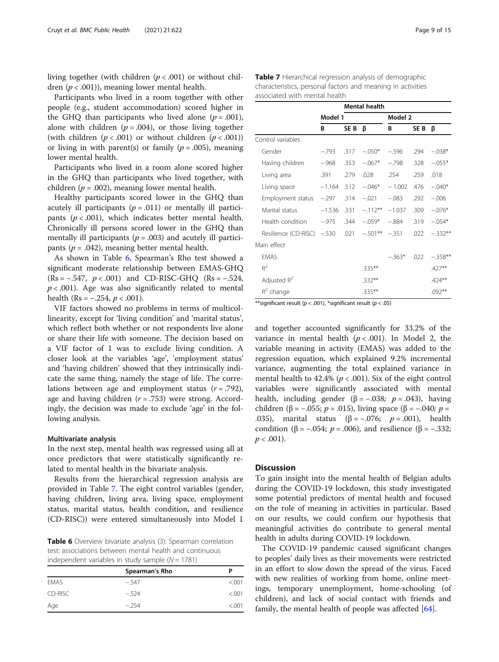living together (with children  $(p < .001)$  or without children  $(p < .001)$ ), meaning lower mental health.

Participants who lived in a room together with other people (e.g., student accommodation) scored higher in the GHQ than participants who lived alone  $(p=.001)$ , alone with children ( $p = .004$ ), or those living together (with children  $(p < .001)$  or without children  $(p < .001)$ ) or living in with parent(s) or family ( $p = .005$ ), meaning lower mental health.

Participants who lived in a room alone scored higher in the GHQ than participants who lived together, with children ( $p = .002$ ), meaning lower mental health.

Healthy participants scored lower in the GHQ than acutely ill participants ( $p = .011$ ) or mentally ill participants ( $p < .001$ ), which indicates better mental health. Chronically ill persons scored lower in the GHQ than mentally ill participants ( $p = .003$ ) and acutely ill participants ( $p = .042$ ), meaning better mental health.

As shown in Table 6, Spearman's Rho test showed a significant moderate relationship between EMAS-GHQ  $(Rs = -0.547, p < 0.001)$  and CD-RISC-GHQ  $(Rs = -0.524, p < 0.001)$  $p < .001$ ). Age was also significantly related to mental health (Rs =  $-.254, p < .001$ ).

VIF factors showed no problems in terms of multicollinearity, except for 'living condition' and 'marital status', which reflect both whether or not respondents live alone or share their life with someone. The decision based on a VIF factor of 1 was to exclude living condition. A closer look at the variables 'age', 'employment status' and 'having children' showed that they intrinsically indicate the same thing, namely the stage of life. The correlations between age and employment status  $(r = .792)$ , age and having children  $(r = .753)$  were strong. Accordingly, the decision was made to exclude 'age' in the following analysis.

#### Multivariate analysis

In the next step, mental health was regressed using all at once predictors that were statistically significantly related to mental health in the bivariate analysis.

Results from the hierarchical regression analysis are provided in Table 7. The eight control variables (gender, having children, living area, living space, employment status, marital status, health condition, and resilience (CD-RISC)) were entered simultaneously into Model 1

Table 6 Overview bivariate analysis (3): Spearman correlation test: associations between mental health and continuous independent variables in study sample ( $N = 1781$ )

|             | Spearman's Rho | P       |
|-------------|----------------|---------|
| <b>FMAS</b> | $-.547$        | < 0.001 |
| CD-RISC     | $-524$         | < 0.001 |
| Age         | $-254$         | < 0.001 |

Table 7 Hierarchical regression analysis of demographic characteristics, personal factors and meaning in activities associated with mental health

|                      |          |      | <b>Mental health</b> |          |      |           |
|----------------------|----------|------|----------------------|----------|------|-----------|
|                      | Model 1  |      |                      | Model 2  |      |           |
|                      | В        | SE B | ß                    | В        | SE B | ß         |
| Control variables    |          |      |                      |          |      |           |
| Gender               | $-.793$  | .317 | $-.050*$             | $-.596$  | .294 | $-.038*$  |
| Having children      | $-.968$  | .353 | $-.067*$             | $-.798$  | .328 | $-.055*$  |
| Living area          | .391     | .279 | .028                 | .254     | .259 | .018      |
| Living space         | $-1.164$ | .512 | $-.046*$             | $-1.002$ | .476 | $-.040*$  |
| Employment status    | $-.297$  | .314 | $-.021$              | $-.083$  | .292 | $-.006$   |
| Marital status       | $-1.536$ | .331 | $-.112**$            | $-1.037$ | .309 | $-.076*$  |
| Health condition     | $-.975$  | .344 | $-.059*$             | $-.884$  | .319 | $-.054*$  |
| Resilience (CD-RISC) | $-.530$  | .021 | $-.501**$            | $-.351$  | .022 | $-.332**$ |
| Main effect          |          |      |                      |          |      |           |
| <b>EMAS</b>          |          |      |                      | $-.363*$ | .022 | $-.358**$ |
| $R^2$                |          |      | $.335***$            |          |      | .427**    |
| Adjusted $R^2$       |          |      | $.332**$             |          |      | .424**    |
| $R^2$ change         |          |      | $.335***$            |          |      | $.092**$  |

\*\*significant result ( $p < .001$ ), \*significant result ( $p < .05$ )

and together accounted significantly for 33.2% of the variance in mental health ( $p < .001$ ). In Model 2, the variable meaning in activity (EMAS) was added to the regression equation, which explained 9.2% incremental variance, augmenting the total explained variance in mental health to 42.4% ( $p < .001$ ). Six of the eight control variables were significantly associated with mental health, including gender ( $\beta$  = -.038;  $p$  = .043), having children (β = -.055; *p* = .015), living space (β = -.040; *p* = .035), marital status (β = -.076;  $p = .001$ ), health condition (β = -.054;  $p = .006$ ), and resilience (β = -.332;  $p < .001$ ).

#### **Discussion**

To gain insight into the mental health of Belgian adults during the COVID-19 lockdown, this study investigated some potential predictors of mental health and focused on the role of meaning in activities in particular. Based on our results, we could confirm our hypothesis that meaningful activities do contribute to general mental health in adults during COVID-19 lockdown.

The COVID-19 pandemic caused significant changes to peoples' daily lives as their movements were restricted in an effort to slow down the spread of the virus. Faced with new realities of working from home, online meetings, temporary unemployment, home-schooling (of children), and lack of social contact with friends and family, the mental health of people was affected [\[64](#page-14-0)].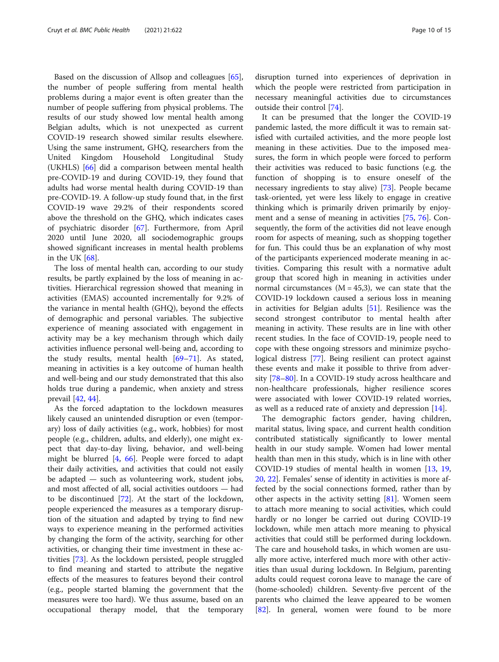Based on the discussion of Allsop and colleagues [\[65](#page-14-0)], the number of people suffering from mental health problems during a major event is often greater than the number of people suffering from physical problems. The results of our study showed low mental health among Belgian adults, which is not unexpected as current COVID-19 research showed similar results elsewhere. Using the same instrument, GHQ, researchers from the United Kingdom Household Longitudinal Study (UKHLS) [[66\]](#page-14-0) did a comparison between mental health pre-COVID-19 and during COVID-19, they found that adults had worse mental health during COVID-19 than pre-COVID-19. A follow-up study found that, in the first COVID-19 wave 29.2% of their respondents scored above the threshold on the GHQ, which indicates cases of psychiatric disorder [[67\]](#page-14-0). Furthermore, from April 2020 until June 2020, all sociodemographic groups showed significant increases in mental health problems in the UK [\[68](#page-14-0)].

The loss of mental health can, according to our study results, be partly explained by the loss of meaning in activities. Hierarchical regression showed that meaning in activities (EMAS) accounted incrementally for 9.2% of the variance in mental health (GHQ), beyond the effects of demographic and personal variables. The subjective experience of meaning associated with engagement in activity may be a key mechanism through which daily activities influence personal well-being and, according to the study results, mental health [[69](#page-14-0)–[71](#page-14-0)]. As stated, meaning in activities is a key outcome of human health and well-being and our study demonstrated that this also holds true during a pandemic, when anxiety and stress prevail [\[42,](#page-13-0) [44\]](#page-13-0).

As the forced adaptation to the lockdown measures likely caused an unintended disruption or even (temporary) loss of daily activities (e.g., work, hobbies) for most people (e.g., children, adults, and elderly), one might expect that day-to-day living, behavior, and well-being might be blurred [\[4](#page-12-0), [66\]](#page-14-0). People were forced to adapt their daily activities, and activities that could not easily be adapted — such as volunteering work, student jobs, and most affected of all, social activities outdoors — had to be discontinued [[72\]](#page-14-0). At the start of the lockdown, people experienced the measures as a temporary disruption of the situation and adapted by trying to find new ways to experience meaning in the performed activities by changing the form of the activity, searching for other activities, or changing their time investment in these activities [[73\]](#page-14-0). As the lockdown persisted, people struggled to find meaning and started to attribute the negative effects of the measures to features beyond their control (e.g., people started blaming the government that the measures were too hard). We thus assume, based on an occupational therapy model, that the temporary disruption turned into experiences of deprivation in which the people were restricted from participation in necessary meaningful activities due to circumstances outside their control [[74\]](#page-14-0).

It can be presumed that the longer the COVID-19 pandemic lasted, the more difficult it was to remain satisfied with curtailed activities, and the more people lost meaning in these activities. Due to the imposed measures, the form in which people were forced to perform their activities was reduced to basic functions (e.g. the function of shopping is to ensure oneself of the necessary ingredients to stay alive) [\[73](#page-14-0)]. People became task-oriented, yet were less likely to engage in creative thinking which is primarily driven primarily by enjoyment and a sense of meaning in activities [[75,](#page-14-0) [76](#page-14-0)]. Consequently, the form of the activities did not leave enough room for aspects of meaning, such as shopping together for fun. This could thus be an explanation of why most of the participants experienced moderate meaning in activities. Comparing this result with a normative adult group that scored high in meaning in activities under normal circumstances  $(M = 45,3)$ , we can state that the COVID-19 lockdown caused a serious loss in meaning in activities for Belgian adults [[51\]](#page-13-0). Resilience was the second strongest contributor to mental health after meaning in activity. These results are in line with other recent studies. In the face of COVID-19, people need to cope with these ongoing stressors and minimize psychological distress [[77](#page-14-0)]. Being resilient can protect against these events and make it possible to thrive from adversity [[78](#page-14-0)–[80](#page-14-0)]. In a COVID-19 study across healthcare and non-healthcare professionals, higher resilience scores were associated with lower COVID-19 related worries, as well as a reduced rate of anxiety and depression [\[14](#page-12-0)].

The demographic factors gender, having children, marital status, living space, and current health condition contributed statistically significantly to lower mental health in our study sample. Women had lower mental health than men in this study, which is in line with other COVID-19 studies of mental health in women [\[13](#page-12-0), [19](#page-12-0), [20,](#page-12-0) [22](#page-13-0)]. Females' sense of identity in activities is more affected by the social connections formed, rather than by other aspects in the activity setting [\[81](#page-14-0)]. Women seem to attach more meaning to social activities, which could hardly or no longer be carried out during COVID-19 lockdown, while men attach more meaning to physical activities that could still be performed during lockdown. The care and household tasks, in which women are usually more active, interfered much more with other activities than usual during lockdown. In Belgium, parenting adults could request corona leave to manage the care of (home-schooled) children. Seventy-five percent of the parents who claimed the leave appeared to be women [[82\]](#page-14-0). In general, women were found to be more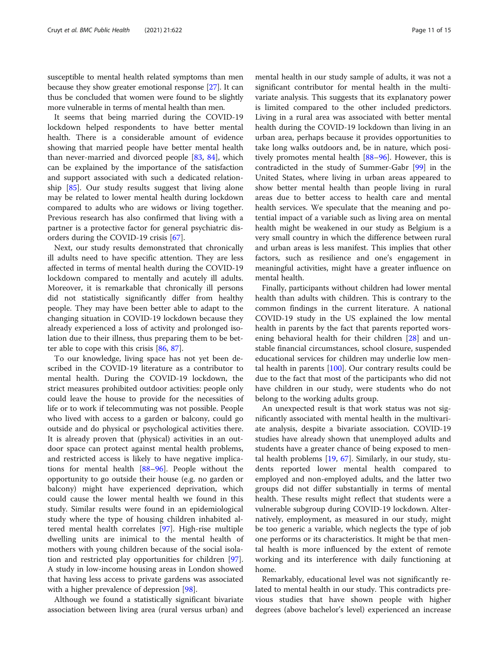susceptible to mental health related symptoms than men because they show greater emotional response [[27](#page-13-0)]. It can thus be concluded that women were found to be slightly more vulnerable in terms of mental health than men.

It seems that being married during the COVID-19 lockdown helped respondents to have better mental health. There is a considerable amount of evidence showing that married people have better mental health than never-married and divorced people [[83](#page-14-0), [84](#page-14-0)], which can be explained by the importance of the satisfaction and support associated with such a dedicated relationship [\[85\]](#page-14-0). Our study results suggest that living alone may be related to lower mental health during lockdown compared to adults who are widows or living together. Previous research has also confirmed that living with a partner is a protective factor for general psychiatric disorders during the COVID-19 crisis [[67\]](#page-14-0).

Next, our study results demonstrated that chronically ill adults need to have specific attention. They are less affected in terms of mental health during the COVID-19 lockdown compared to mentally and acutely ill adults. Moreover, it is remarkable that chronically ill persons did not statistically significantly differ from healthy people. They may have been better able to adapt to the changing situation in COVID-19 lockdown because they already experienced a loss of activity and prolonged isolation due to their illness, thus preparing them to be better able to cope with this crisis [\[86,](#page-14-0) [87\]](#page-14-0).

To our knowledge, living space has not yet been described in the COVID-19 literature as a contributor to mental health. During the COVID-19 lockdown, the strict measures prohibited outdoor activities: people only could leave the house to provide for the necessities of life or to work if telecommuting was not possible. People who lived with access to a garden or balcony, could go outside and do physical or psychological activities there. It is already proven that (physical) activities in an outdoor space can protect against mental health problems, and restricted access is likely to have negative implications for mental health [[88](#page-14-0)–[96](#page-14-0)]. People without the opportunity to go outside their house (e.g. no garden or balcony) might have experienced deprivation, which could cause the lower mental health we found in this study. Similar results were found in an epidemiological study where the type of housing children inhabited altered mental health correlates [\[97](#page-14-0)]. High-rise multiple dwelling units are inimical to the mental health of mothers with young children because of the social isolation and restricted play opportunities for children [\[97](#page-14-0)]. A study in low-income housing areas in London showed that having less access to private gardens was associated with a higher prevalence of depression [[98](#page-14-0)].

Although we found a statistically significant bivariate association between living area (rural versus urban) and

mental health in our study sample of adults, it was not a significant contributor for mental health in the multivariate analysis. This suggests that its explanatory power is limited compared to the other included predictors. Living in a rural area was associated with better mental health during the COVID-19 lockdown than living in an urban area, perhaps because it provides opportunities to take long walks outdoors and, be in nature, which positively promotes mental health [[88](#page-14-0)–[96](#page-14-0)]. However, this is contradicted in the study of Summer-Gabr [[99](#page-14-0)] in the United States, where living in urban areas appeared to show better mental health than people living in rural areas due to better access to health care and mental health services. We speculate that the meaning and potential impact of a variable such as living area on mental health might be weakened in our study as Belgium is a very small country in which the difference between rural and urban areas is less manifest. This implies that other factors, such as resilience and one's engagement in meaningful activities, might have a greater influence on mental health.

Finally, participants without children had lower mental health than adults with children. This is contrary to the common findings in the current literature. A national COVID-19 study in the US explained the low mental health in parents by the fact that parents reported worsening behavioral health for their children [[28](#page-13-0)] and unstable financial circumstances, school closure, suspended educational services for children may underlie low mental health in parents  $[100]$  $[100]$ . Our contrary results could be due to the fact that most of the participants who did not have children in our study, were students who do not belong to the working adults group.

An unexpected result is that work status was not significantly associated with mental health in the multivariate analysis, despite a bivariate association. COVID-19 studies have already shown that unemployed adults and students have a greater chance of being exposed to mental health problems [\[19](#page-12-0), [67](#page-14-0)]. Similarly, in our study, students reported lower mental health compared to employed and non-employed adults, and the latter two groups did not differ substantially in terms of mental health. These results might reflect that students were a vulnerable subgroup during COVID-19 lockdown. Alternatively, employment, as measured in our study, might be too generic a variable, which neglects the type of job one performs or its characteristics. It might be that mental health is more influenced by the extent of remote working and its interference with daily functioning at home.

Remarkably, educational level was not significantly related to mental health in our study. This contradicts previous studies that have shown people with higher degrees (above bachelor's level) experienced an increase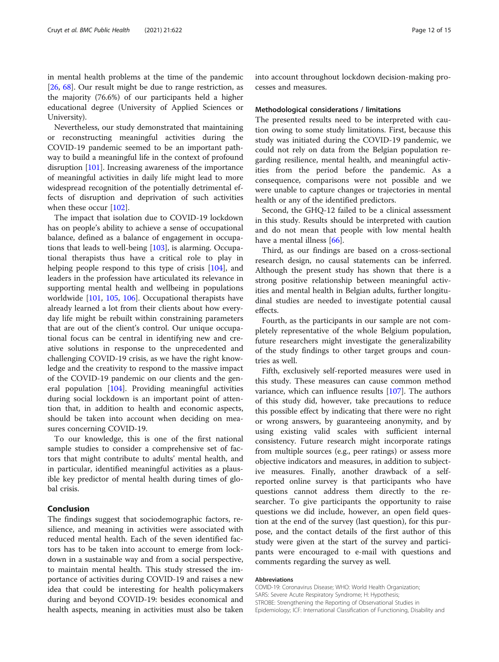in mental health problems at the time of the pandemic [[26,](#page-13-0) [68\]](#page-14-0). Our result might be due to range restriction, as the majority (76.6%) of our participants held a higher educational degree (University of Applied Sciences or University).

Nevertheless, our study demonstrated that maintaining or reconstructing meaningful activities during the COVID-19 pandemic seemed to be an important pathway to build a meaningful life in the context of profound disruption [[101\]](#page-14-0). Increasing awareness of the importance of meaningful activities in daily life might lead to more widespread recognition of the potentially detrimental effects of disruption and deprivation of such activities when these occur [[102](#page-14-0)].

The impact that isolation due to COVID-19 lockdown has on people's ability to achieve a sense of occupational balance, defined as a balance of engagement in occupations that leads to well-being [[103\]](#page-14-0), is alarming. Occupational therapists thus have a critical role to play in helping people respond to this type of crisis [\[104](#page-14-0)], and leaders in the profession have articulated its relevance in supporting mental health and wellbeing in populations worldwide [[101,](#page-14-0) [105](#page-14-0), [106\]](#page-14-0). Occupational therapists have already learned a lot from their clients about how everyday life might be rebuilt within constraining parameters that are out of the client's control. Our unique occupational focus can be central in identifying new and creative solutions in response to the unprecedented and challenging COVID-19 crisis, as we have the right knowledge and the creativity to respond to the massive impact of the COVID-19 pandemic on our clients and the general population [\[104](#page-14-0)]. Providing meaningful activities during social lockdown is an important point of attention that, in addition to health and economic aspects, should be taken into account when deciding on measures concerning COVID-19.

To our knowledge, this is one of the first national sample studies to consider a comprehensive set of factors that might contribute to adults' mental health, and in particular, identified meaningful activities as a plausible key predictor of mental health during times of global crisis.

#### Conclusion

The findings suggest that sociodemographic factors, resilience, and meaning in activities were associated with reduced mental health. Each of the seven identified factors has to be taken into account to emerge from lockdown in a sustainable way and from a social perspective, to maintain mental health. This study stressed the importance of activities during COVID-19 and raises a new idea that could be interesting for health policymakers during and beyond COVID-19: besides economical and health aspects, meaning in activities must also be taken into account throughout lockdown decision-making processes and measures.

#### Methodological considerations / limitations

The presented results need to be interpreted with caution owing to some study limitations. First, because this study was initiated during the COVID-19 pandemic, we could not rely on data from the Belgian population regarding resilience, mental health, and meaningful activities from the period before the pandemic. As a consequence, comparisons were not possible and we were unable to capture changes or trajectories in mental health or any of the identified predictors.

Second, the GHQ-12 failed to be a clinical assessment in this study. Results should be interpreted with caution and do not mean that people with low mental health have a mental illness [[66\]](#page-14-0).

Third, as our findings are based on a cross-sectional research design, no causal statements can be inferred. Although the present study has shown that there is a strong positive relationship between meaningful activities and mental health in Belgian adults, further longitudinal studies are needed to investigate potential causal effects.

Fourth, as the participants in our sample are not completely representative of the whole Belgium population, future researchers might investigate the generalizability of the study findings to other target groups and countries as well.

Fifth, exclusively self-reported measures were used in this study. These measures can cause common method variance, which can influence results [\[107](#page-14-0)]. The authors of this study did, however, take precautions to reduce this possible effect by indicating that there were no right or wrong answers, by guaranteeing anonymity, and by using existing valid scales with sufficient internal consistency. Future research might incorporate ratings from multiple sources (e.g., peer ratings) or assess more objective indicators and measures, in addition to subjective measures. Finally, another drawback of a selfreported online survey is that participants who have questions cannot address them directly to the researcher. To give participants the opportunity to raise questions we did include, however, an open field question at the end of the survey (last question), for this purpose, and the contact details of the first author of this study were given at the start of the survey and participants were encouraged to e-mail with questions and comments regarding the survey as well.

#### Abbreviations

COVID-19: Coronavirus Disease; WHO: World Health Organization; SARS: Severe Acute Respiratory Syndrome; H: Hypothesis; STROBE: Strengthening the Reporting of Observational Studies in Epidemiology; ICF: International Classification of Functioning, Disability and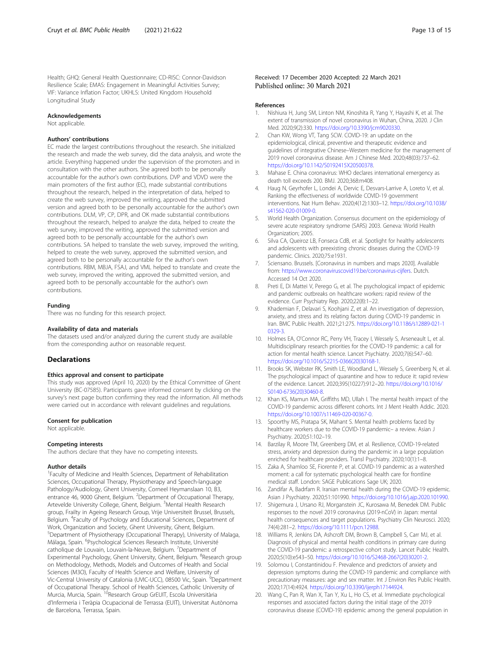<span id="page-12-0"></span>Health; GHQ: General Health Questionnaire; CD-RISC: Connor-Davidson Resilience Scale; EMAS: Engagement in Meaningful Activities Survey; VIF: Variance Inflation Factor; UKHLS: United Kingdom Household Longitudinal Study

#### Acknowledgements

Not applicable.

#### Authors' contributions

EC made the largest contributions throughout the research. She initialized the research and made the web survey, did the data analysis, and wrote the article. Everything happened under the supervision of the promoters and in consultation with the other authors. She agreed both to be personally accountable for the author's own contributions. DVP and VDVD were the main promoters of the first author (EC), made substantial contributions throughout the research, helped in the interpretation of data, helped to create the web survey, improved the writing, approved the submitted version and agreed both to be personally accountable for the author's own contributions. DLM, VP, CP, DPR, and OK made substantial contributions throughout the research, helped to analyze the data, helped to create the web survey, improved the writing, approved the submitted version and agreed both to be personally accountable for the author's own contributions. SA helped to translate the web survey, improved the writing, helped to create the web survey, approved the submitted version, and agreed both to be personally accountable for the author's own contributions. RBM, MBJA, FSAJ, and VML helped to translate and create the web survey, improved the writing, approved the submitted version, and agreed both to be personally accountable for the author's own contributions.

#### Funding

There was no funding for this research project.

#### Availability of data and materials

The datasets used and/or analyzed during the current study are available from the corresponding author on reasonable request.

#### Declarations

#### Ethics approval and consent to participate

This study was approved (April 10, 2020) by the Ethical Committee of Ghent University (BC-07585). Participants gave informed consent by clicking on the survey's next page button confirming they read the information. All methods were carried out in accordance with relevant guidelines and regulations.

#### Consent for publication

Not applicable.

#### Competing interests

The authors declare that they have no competing interests.

#### Author details

<sup>1</sup> Faculty of Medicine and Health Sciences, Department of Rehabilitation Sciences, Occupational Therapy, Physiotherapy and Speech-language Pathology/Audiology, Ghent University, Corneel Heymanslaan 10, B3, entrance 46, 9000 Ghent, Belgium. <sup>2</sup>Department of Occupational Therapy, Artevelde University College, Ghent, Belgium. <sup>3</sup>Mental Health Research group, Frailty in Ageing Research Group, Vrije Universiteit Brussel, Brussels, Belgium. <sup>4</sup>Faculty of Psychology and Educational Sciences, Department of Work, Organization and Society, Ghent University, Ghent, Belgium. 5 Department of Physiotherapy (Occupational Therapy), University of Malaga, Málaga, Spain. <sup>6</sup>Psychological Sciences Research Institute, Université catholique de Louvain, Louvain-la-Neuve, Belgium. <sup>7</sup>Department of Experimental Psychology, Ghent University, Ghent, Belgium. <sup>8</sup>Research group on Methodology, Methods, Models and Outcomes of Health and Social Sciences (M3O), Faculty of Health Science and Welfare, University of Vic-Central University of Catalonia (UVIC-UCC), 08500 Vic, Spain. <sup>9</sup>Department of Occupational Therapy. School of Health Sciences, Catholic University of<br>Murcia, Murcia, Spain. <sup>10</sup>Research Group GrEUIT, Escola Universitària d'Infermeria i Teràpia Ocupacional de Terrassa (EUIT), Universitat Autònoma de Barcelona, Terrassa, Spain.

Received: 17 December 2020 Accepted: 22 March 2021 Published online: 30 March 2021

#### References

- 1. Nishiura H, Jung SM, Linton NM, Kinoshita R, Yang Y, Hayashi K, et al. The extent of transmission of novel coronavirus in Wuhan, China, 2020. J Clin Med. 2020;9(2):330. <https://doi.org/10.3390/jcm9020330>.
- 2. Chan KW, Wong VT, Tang SCW. COVID-19: an update on the epidemiological, clinical, preventive and therapeutic evidence and guidelines of integrative Chinese–Western medicine for the management of 2019 novel coronavirus disease. Am J Chinese Med. 2020;48(03):737–62. <https://doi.org/10.1142/S0192415X20500378>.
- 3. Mahase E. China coronavirus: WHO declares international emergency as death toll exceeds 200. BMJ. 2020;368:m408.
- 4. Haug N, Geyrhofer L, Londei A, Dervic E, Desvars-Larrive A, Loreto V, et al. Ranking the effectiveness of worldwide COVID-19 government interventions. Nat Hum Behav. 2020;4(12):1303–12. [https://doi.org/10.1038/](https://doi.org/10.1038/s41562-020-01009-0) [s41562-020-01009-0](https://doi.org/10.1038/s41562-020-01009-0).
- 5. World Health Organization. Consensus document on the epidemiology of severe acute respiratory syndrome (SARS) 2003. Geneva: World Health Organization; 2005.
- 6. Silva CA, Queiroz LB, Fonseca CdB, et al. Spotlight for healthy adolescents and adolescents with preexisting chronic diseases during the COVID-19 pandemic. Clinics. 2020;75:e1931.
- 7. Sciensano. Brussels. [Coronavirus in numbers and maps 2020]. Available from: [https://www.coronaviruscovid19.be/coronavirus-cijfers.](https://www.coronaviruscovid19.be/coronavirus-cijfers) Dutch. Accessed 14 Oct 2020.
- 8. Preti E, Di Mattei V, Perego G, et al. The psychological impact of epidemic and pandemic outbreaks on healthcare workers: rapid review of the evidence. Curr Psychiatry Rep. 2020;22(8):1–22.
- 9. Khademian F, Delavari S, Koohjani Z, et al. An investigation of depression, anxiety, and stress and its relating factors during COVID-19 pandemic in Iran. BMC Public Health. 2021;21:275. [https://doi.org/10.1186/s12889-021-1](https://doi.org/10.1186/s12889-021-10329-3) [0329-3.](https://doi.org/10.1186/s12889-021-10329-3)
- 10. Holmes EA, O'Connor RC, Perry VH, Tracey I, Wessely S, Arseneault L, et al. Multidisciplinary research priorities for the COVID-19 pandemic: a call for action for mental health science. Lancet Psychiatry. 2020;7(6):547–60. [https://doi.org/10.1016/S2215-0366\(20\)30168-1.](https://doi.org/10.1016/S2215-0366(20)30168-1)
- 11. Brooks SK, Webster RK, Smith LE, Woodland L, Wessely S, Greenberg N, et al. The psychological impact of quarantine and how to reduce it: rapid review of the evidence. Lancet. 2020;395(10227):912–20. [https://doi.org/10.1016/](https://doi.org/10.1016/S0140-6736(20)30460-8) [S0140-6736\(20\)30460-8](https://doi.org/10.1016/S0140-6736(20)30460-8).
- 12. Khan KS, Mamun MA, Griffiths MD, Ullah I. The mental health impact of the COVID-19 pandemic across different cohorts. Int J Ment Health Addic. 2020. [https://doi.org/10.1007/s11469-020-00367-0.](https://doi.org/10.1007/s11469-020-00367-0)
- 13. Spoorthy MS, Pratapa SK, Mahant S. Mental health problems faced by healthcare workers due to the COVID-19 pandemic– a review. Asian J Psychiatry. 2020;51:102–19.
- 14. Barzilay R, Moore TM, Greenberg DM, et al. Resilience, COVID-19-related stress, anxiety and depression during the pandemic in a large population enriched for healthcare providers. Transl Psychiatry. 2020;10(1):1–8.
- 15. Zaka A, Shamloo SE, Fiorente P, et al. COVID-19 pandemic as a watershed moment: a call for systematic psychological health care for frontline medical staff. London: SAGE Publications Sage UK; 2020.
- 16. Zandifar A, Badrfam R. Iranian mental health during the COVID-19 epidemic. Asian J Psychiatry. 2020;51:101990. [https://doi.org/10.1016/j.ajp.2020.101990.](https://doi.org/10.1016/j.ajp.2020.101990)
- 17. Shigemura J, Ursano RJ, Morganstein JC, Kurosawa M, Benedek DM. Public responses to the novel 2019 coronavirus (2019-nCoV) in Japan: mental health consequences and target populations. Psychiatry Clin Neurosci. 2020; 74(4):281–2. [https://doi.org/10.1111/pcn.12988.](https://doi.org/10.1111/pcn.12988)
- 18. Williams R, Jenkins DA, Ashcroft DM, Brown B, Campbell S, Carr MJ, et al. Diagnosis of physical and mental health conditions in primary care during the COVID-19 pandemic: a retrospective cohort study. Lancet Public Health. 2020;5(10):e543–50. [https://doi.org/10.1016/S2468-2667\(20\)30201-2](https://doi.org/10.1016/S2468-2667(20)30201-2).
- 19. Solomou I, Constantinidou F. Prevalence and predictors of anxiety and depression symptoms during the COVID-19 pandemic and compliance with precautionary measures: age and sex matter. Int J Environ Res Public Health. 2020;17(14):4924. [https://doi.org/10.3390/ijerph17144924.](https://doi.org/10.3390/ijerph17144924)
- 20. Wang C, Pan R, Wan X, Tan Y, Xu L, Ho CS, et al. Immediate psychological responses and associated factors during the initial stage of the 2019 coronavirus disease (COVID-19) epidemic among the general population in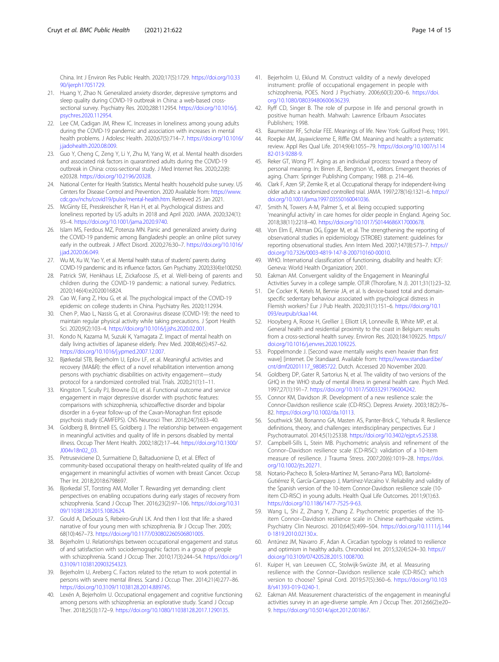<span id="page-13-0"></span>China. Int J Environ Res Public Health. 2020;17(5):1729. [https://doi.org/10.33](https://doi.org/10.3390/ijerph17051729) [90/ijerph17051729](https://doi.org/10.3390/ijerph17051729).

- 21. Huang Y, Zhao N. Generalized anxiety disorder, depressive symptoms and sleep quality during COVID-19 outbreak in China: a web-based crosssectional survey. Psychiatry Res. 2020;288:112954. [https://doi.org/10.1016/j.](https://doi.org/10.1016/j.psychres.2020.112954) [psychres.2020.112954.](https://doi.org/10.1016/j.psychres.2020.112954)
- 22. Lee CM, Cadigan JM, Rhew IC. Increases in loneliness among young adults during the COVID-19 pandemic and association with increases in mental health problems. J Adolesc Health. 2020;67(5):714–7. [https://doi.org/10.1016/](https://doi.org/10.1016/j.jadohealth.2020.08.009) [j.jadohealth.2020.08.009.](https://doi.org/10.1016/j.jadohealth.2020.08.009)
- 23. Guo Y, Cheng C, Zeng Y, Li Y, Zhu M, Yang W, et al. Mental health disorders and associated risk factors in quarantined adults during the COVID-19 outbreak in China: cross-sectional study. J Med Internet Res. 2020;22(8): e20328. [https://doi.org/10.2196/20328.](https://doi.org/10.2196/20328)
- 24. National Center for Health Statistics. Mental health: household pulse survey. US Centers for Disease Control and Prevention. 2020 Available from: [https://www.](https://www.cdc.gov/nchs/covid19/pulse/mental-health.htm) [cdc.gov/nchs/covid19/pulse/mental-health.htm.](https://www.cdc.gov/nchs/covid19/pulse/mental-health.htm) Retrieved 25 Jan 2021.
- 25. McGinty EE, Presskreischer R, Han H, et al. Psychological distress and loneliness reported by US adults in 2018 and April 2020. JAMA. 2020;324(1): 93–4. <https://doi.org/10.1001/jama.2020.9740>.
- 26. Islam MS, Ferdous MZ, Potenza MN. Panic and generalized anxiety during the COVID-19 pandemic among Bangladeshi people: an online pilot survey early in the outbreak. J Affect Disord. 2020;276:30-7. [https://doi.org/10.1016/](https://doi.org/10.1016/j.jad.2020.06.049) i.jad.2020.06.049.
- 27. Wu M, Xu W, Yao Y, et al. Mental health status of students' parents during COVID-19 pandemic and its influence factors. Gen Psychiatry. 2020;33(4):e100250.
- 28. Patrick SW, Henkhaus LE, Zickafoose JS, et al. Well-being of parents and children during the COVID-19 pandemic: a national survey. Pediatrics. 2020;146(4):e2020016824.
- 29. Cao W, Fang Z, Hou G, et al. The psychological impact of the COVID-19 epidemic on college students in China. Psychiatry Res. 2020;112934.
- 30. Chen P, Mao L, Nassis G, et al. Coronavirus disease (COVID-19): the need to maintain regular physical activity while taking precautions. J Sport Health Sci. 2020;9(2):103–4. [https://doi.org/10.1016/j.jshs.2020.02.001.](https://doi.org/10.1016/j.jshs.2020.02.001)
- 31. Kondo N, Kazama M, Suzuki K, Yamagata Z. Impact of mental health on daily living activities of Japanese elderly. Prev Med. 2008;46(5):457–62. [https://doi.org/10.1016/j.ypmed.2007.12.007.](https://doi.org/10.1016/j.ypmed.2007.12.007)
- 32. Bjørkedal STB, Bejerholm U, Eplov LF, et al. Meaningful activities and recovery (MA&R): the effect of a novel rehabilitation intervention among persons with psychiatric disabilities on activity engagement—study protocol for a randomized controlled trial. Trials. 2020;21(1):1–11.
- 33. Kingston T, Scully PJ, Browne DJ, et al. Functional outcome and service engagement in major depressive disorder with psychotic features: comparisons with schizophrenia, schizoaffective disorder and bipolar disorder in a 6-year follow-up of the Cavan-Monaghan first episode psychosis study (CAMFEPS). CNS Neurosci Ther. 2018;24(7):633–40.
- 34. Goldberg B, Brintnell ES, Goldberg J. The relationship between engagement in meaningful activities and quality of life in persons disabled by mental illness. Occup Ther Ment Health. 2002;18(2):17–44. [https://doi.org/10.1300/](https://doi.org/10.1300/J004v18n02_03) [J004v18n02\\_03](https://doi.org/10.1300/J004v18n02_03).
- 35. Petruseviciene D, Surmaitiene D, Baltaduoniene D, et al. Effect of community-based occupational therapy on health-related quality of life and engagement in meaningful activities of women with breast Cancer. Occup Ther Int. 2018;2018:6798697.
- 36. Bjorkedal ST, Torsting AM, Moller T. Rewarding yet demanding: client perspectives on enabling occupations during early stages of recovery from schizophrenia. Scand J Occup Ther. 2016;23(2):97–106. [https://doi.org/10.31](https://doi.org/10.3109/11038128.2015.1082624) [09/11038128.2015.1082624](https://doi.org/10.3109/11038128.2015.1082624).
- 37. Gould A, DeSouza S, Rebeiro-Gruhl LK. And then I lost that life: a shared narrative of four young men with schizophrenia. Br J Occup Ther. 2005; 68(10):467–73. [https://doi.org/10.1177/030802260506801005.](https://doi.org/10.1177/030802260506801005)
- 38. Bejerholm U. Relationships between occupational engagement and status of and satisfaction with sociodemographic factors in a group of people with schizophrenia. Scand J Occup Ther. 2010;17(3):244–54. [https://doi.org/1](https://doi.org/10.3109/11038120903254323) [0.3109/11038120903254323](https://doi.org/10.3109/11038120903254323).
- 39. Bejerholm U, Areberg C. Factors related to the return to work potential in persons with severe mental illness. Scand J Occup Ther. 2014;21(4):277–86. [https://doi.org/10.3109/11038128.2014.889745.](https://doi.org/10.3109/11038128.2014.889745)
- 40. Lexén A, Bejerholm U. Occupational engagement and cognitive functioning among persons with schizophrenia: an explorative study. Scand J Occup Ther. 2018;25(3):172–9. <https://doi.org/10.1080/11038128.2017.1290135>.
- 41. Bejerholm U, Eklund M. Construct validity of a newly developed instrument: profile of occupational engagement in people with schizophrenia, POES. Nord J Psychiatry. 2006;60(3):200–6. [https://doi.](https://doi.org/10.1080/08039480600636239) [org/10.1080/08039480600636239.](https://doi.org/10.1080/08039480600636239)
- 42. Ryff CD, Singer B. The role of purpose in life and personal growth in positive human health. Mahwah: Lawrence Erlbaum Associates Publishers: 1998
- 43. Baumeister RF, Scholar FEE. Meanings of life. New York: Guilford Press; 1991.
- 44. Roepke AM, Jayawickreme E, Riffle OM. Meaning and health: a systematic review. Appl Res Qual Life. 2014;9(4):1055–79. [https://doi.org/10.1007/s114](https://doi.org/10.1007/s11482-013-9288-9) [82-013-9288-9](https://doi.org/10.1007/s11482-013-9288-9).
- 45. Reker GT, Wong PT. Aging as an individual process: toward a theory of personal meaning. In: Birren JE, Bengtson VL, editors. Emergent theories of aging. Cham: Springer Publishing Company; 1988. p. 214–46.
- 46. Clark F, Azen SP, Zemke R, et al. Occupational therapy for independent-living older adults: a randomized controlled trial. JAMA. 1997;278(16):1321–6. [https://](https://doi.org/10.1001/jama.1997.03550160041036) [doi.org/10.1001/jama.1997.03550160041036](https://doi.org/10.1001/jama.1997.03550160041036).
- 47. Smith N, Towers A-M, Palmer S, et al. Being occupied: supporting 'meaningful activity' in care homes for older people in England. Ageing Soc. 2018;38(11):2218–40. [https://doi.org/10.1017/S0144686X17000678.](https://doi.org/10.1017/S0144686X17000678)
- 48. Von Elm E, Altman DG, Egger M, et al. The strengthening the reporting of observational studies in epidemiology (STROBE) statement: guidelines for reporting observational studies. Ann Intern Med. 2007;147(8):573–7. [https://](https://doi.org/10.7326/0003-4819-147-8-200710160-00010) [doi.org/10.7326/0003-4819-147-8-200710160-00010](https://doi.org/10.7326/0003-4819-147-8-200710160-00010).
- 49. WHO. International classification of functioning, disability and health: ICF: Geneva: World Health Organization; 2001.
- 50. Eakman AM. Convergent validity of the Engagement in Meaningful Activities Survey in a college sample. OTJR (Thorofare, N J). 2011;31(1):23–32.
- 51. De Cocker K, Ketels M, Bennie JA, et al. Is device-based total and domainspecific sedentary behaviour associated with psychological distress in Flemish workers? Eur J Pub Health. 2020;31(1):151–6. [https://doi.org/10.1](https://doi.org/10.1093/eurpub/ckaa144) [093/eurpub/ckaa144](https://doi.org/10.1093/eurpub/ckaa144).
- 52. Hooyberg A, Roose H, Grellier J, Elliott LR, Lonneville B, White MP, et al. General health and residential proximity to the coast in Belgium: results from a cross-sectional health survey. Environ Res. 2020;184:109225. [https://](https://doi.org/10.1016/j.envres.2020.109225) [doi.org/10.1016/j.envres.2020.109225.](https://doi.org/10.1016/j.envres.2020.109225)
- 53. Poppelmonde J. [Second wave mentally weighs even heavier than first wave] [internet. De Standaard. Available from: [https://www.standaard.be/](https://www.standaard.be/cnt/dmf20201117_98085722) [cnt/dmf20201117\\_98085722.](https://www.standaard.be/cnt/dmf20201117_98085722) Dutch. Accessed 20 November 2020.
- 54. Goldberg DP, Gater R, Sartorius N, et al. The validity of two versions of the GHQ in the WHO study of mental illness in general health care. Psych Med. 1997;27(1):191–7. <https://doi.org/10.1017/S0033291796004242>.
- 55. Connor KM, Davidson JR. Development of a new resilience scale: the Connor-Davidson resilience scale (CD-RISC). Depress Anxiety. 2003;18(2):76– 82. <https://doi.org/10.1002/da.10113>.
- 56. Southwick SM, Bonanno GA, Masten AS, Panter-Brick C, Yehuda R. Resilience definitions, theory, and challenges: interdisciplinary perspectives. Eur J Psychotraumatol. 2014;5(1):25338. [https://doi.org/10.3402/ejpt.v5.25338.](https://doi.org/10.3402/ejpt.v5.25338)
- 57. Campbell-Sills L, Stein MB. Psychometric analysis and refinement of the Connor–Davidson resilience scale (CD-RISC): validation of a 10-item measure of resilience. J Trauma Stress. 2007;20(6):1019–28. [https://doi.](https://doi.org/10.1002/jts.20271) [org/10.1002/jts.20271](https://doi.org/10.1002/jts.20271).
- 58. Notario-Pacheco B, Solera-Martínez M, Serrano-Parra MD, Bartolomé-Gutiérrez R, García-Campayo J, Martínez-Vizcaíno V. Reliability and validity of the Spanish version of the 10-item Connor-Davidson resilience scale (10 item CD-RISC) in young adults. Health Qual Life Outcomes. 2011;9(1):63. [https://doi.org/10.1186/1477-7525-9-63.](https://doi.org/10.1186/1477-7525-9-63)
- 59. Wang L, Shi Z, Zhang Y, Zhang Z. Psychometric properties of the 10 item Connor–Davidson resilience scale in Chinese earthquake victims. Psychiatry Clin Neurosci. 2010;64(5):499–504. [https://doi.org/10.1111/j.144](https://doi.org/10.1111/j.1440-1819.2010.02130.x) [0-1819.2010.02130.x.](https://doi.org/10.1111/j.1440-1819.2010.02130.x)
- 60. Antúnez JM, Navarro JF, Adan A. Circadian typology is related to resilience and optimism in healthy adults. Chronobiol Int. 2015;32(4):524–30. [https://](https://doi.org/10.3109/07420528.2015.1008700) [doi.org/10.3109/07420528.2015.1008700.](https://doi.org/10.3109/07420528.2015.1008700)
- 61. Kuiper H, van Leeuwen CC, Stolwijk-Swüste JM, et al. Measuring resilience with the Connor–Davidson resilience scale (CD-RISC): which version to choose? Spinal Cord. 2019;57(5):360–6. [https://doi.org/10.103](https://doi.org/10.1038/s41393-019-0240-1) [8/s41393-019-0240-1](https://doi.org/10.1038/s41393-019-0240-1).
- 62. Eakman AM. Measurement characteristics of the engagement in meaningful activities survey in an age-diverse sample. Am J Occup Ther. 2012;66(2):e20– 9. [https://doi.org/10.5014/ajot.2012.001867.](https://doi.org/10.5014/ajot.2012.001867)